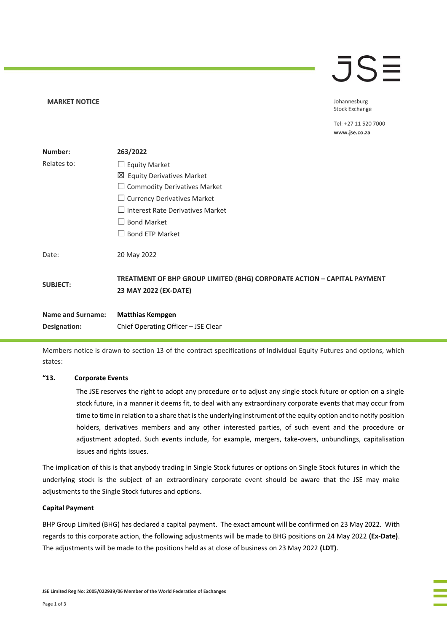### $\bar{J}S\bar{=}$

Johannesburg **Stock Exchange** 

Tel: +27 11 520 7000 www.jse.co.za

| Number:                  | 263/2022                                                                                         |
|--------------------------|--------------------------------------------------------------------------------------------------|
| Relates to:              | $\Box$ Equity Market                                                                             |
|                          | 凶 Equity Derivatives Market                                                                      |
|                          | $\Box$ Commodity Derivatives Market                                                              |
|                          | $\Box$ Currency Derivatives Market                                                               |
|                          | $\Box$ Interest Rate Derivatives Market                                                          |
|                          | $\Box$ Bond Market                                                                               |
|                          | $\Box$ Bond ETP Market                                                                           |
| Date:                    | 20 May 2022                                                                                      |
| <b>SUBJECT:</b>          | TREATMENT OF BHP GROUP LIMITED (BHG) CORPORATE ACTION - CAPITAL PAYMENT<br>23 MAY 2022 (EX-DATE) |
| <b>Name and Surname:</b> | <b>Matthias Kempgen</b>                                                                          |
| Designation:             | Chief Operating Officer - JSE Clear                                                              |

Members notice is drawn to section 13 of the contract specifications of Individual Equity Futures and options, which states:

### **"13. Corporate Events**

**MARKET NOTICE** 

The JSE reserves the right to adopt any procedure or to adjust any single stock future or option on a single stock future, in a manner it deems fit, to deal with any extraordinary corporate events that may occur from time to time in relation to a share that is the underlying instrument of the equity option and to notify position holders, derivatives members and any other interested parties, of such event and the procedure or adjustment adopted. Such events include, for example, mergers, take-overs, unbundlings, capitalisation issues and rights issues.

The implication of this is that anybody trading in Single Stock futures or options on Single Stock futures in which the underlying stock is the subject of an extraordinary corporate event should be aware that the JSE may make adjustments to the Single Stock futures and options.

#### **Capital Payment**

BHP Group Limited (BHG) has declared a capital payment. The exact amount will be confirmed on 23 May 2022. With regards to this corporate action, the following adjustments will be made to BHG positions on 24 May 2022 **(Ex-Date)**. The adjustments will be made to the positions held as at close of business on 23 May 2022 **(LDT)**.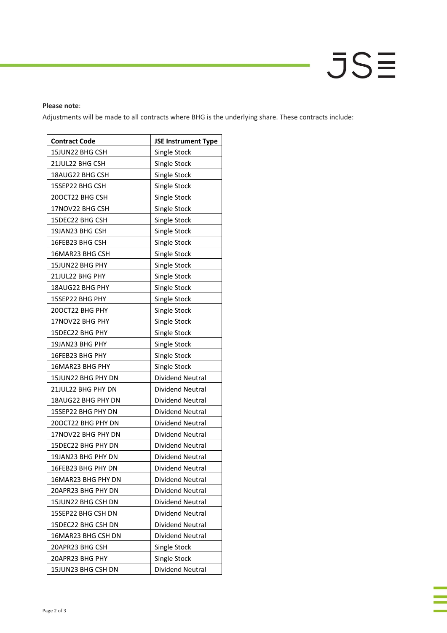## JS≣

### **Please note**:

Adjustments will be made to all contracts where BHG is the underlying share. These contracts include:

| <b>Contract Code</b> | <b>JSE Instrument Type</b> |
|----------------------|----------------------------|
| 15JUN22 BHG CSH      | Single Stock               |
| 21JUL22 BHG CSH      | Single Stock               |
| 18AUG22 BHG CSH      | Single Stock               |
| 15SEP22 BHG CSH      | Single Stock               |
| 200CT22 BHG CSH      | Single Stock               |
| 17NOV22 BHG CSH      | Single Stock               |
| 15DEC22 BHG CSH      | Single Stock               |
| 19JAN23 BHG CSH      | Single Stock               |
| 16FEB23 BHG CSH      | Single Stock               |
| 16MAR23 BHG CSH      | Single Stock               |
| 15JUN22 BHG PHY      | Single Stock               |
| 21JUL22 BHG PHY      | Single Stock               |
| 18AUG22 BHG PHY      | Single Stock               |
| 15SEP22 BHG PHY      | Single Stock               |
| 20OCT22 BHG PHY      | Single Stock               |
| 17NOV22 BHG PHY      | Single Stock               |
| 15DEC22 BHG PHY      | Single Stock               |
| 19JAN23 BHG PHY      | Single Stock               |
| 16FEB23 BHG PHY      | Single Stock               |
| 16MAR23 BHG PHY      | Single Stock               |
| 15JUN22 BHG PHY DN   | Dividend Neutral           |
| 21JUL22 BHG PHY DN   | Dividend Neutral           |
| 18AUG22 BHG PHY DN   | Dividend Neutral           |
| 15SEP22 BHG PHY DN   | <b>Dividend Neutral</b>    |
| 20OCT22 BHG PHY DN   | Dividend Neutral           |
| 17NOV22 BHG PHY DN   | Dividend Neutral           |
| 15DEC22 BHG PHY DN   | Dividend Neutral           |
| 19JAN23 BHG PHY DN   | Dividend Neutral           |
| 16FEB23 BHG PHY DN   | Dividend Neutral           |
| 16MAR23 BHG PHY DN   | Dividend Neutral           |
| 20APR23 BHG PHY DN   | Dividend Neutral           |
| 15JUN22 BHG CSH DN   | Dividend Neutral           |
| 15SEP22 BHG CSH DN   | <b>Dividend Neutral</b>    |
| 15DEC22 BHG CSH DN   | Dividend Neutral           |
| 16MAR23 BHG CSH DN   | <b>Dividend Neutral</b>    |
| 20APR23 BHG CSH      | Single Stock               |
| 20APR23 BHG PHY      | Single Stock               |
| 15JUN23 BHG CSH DN   | Dividend Neutral           |